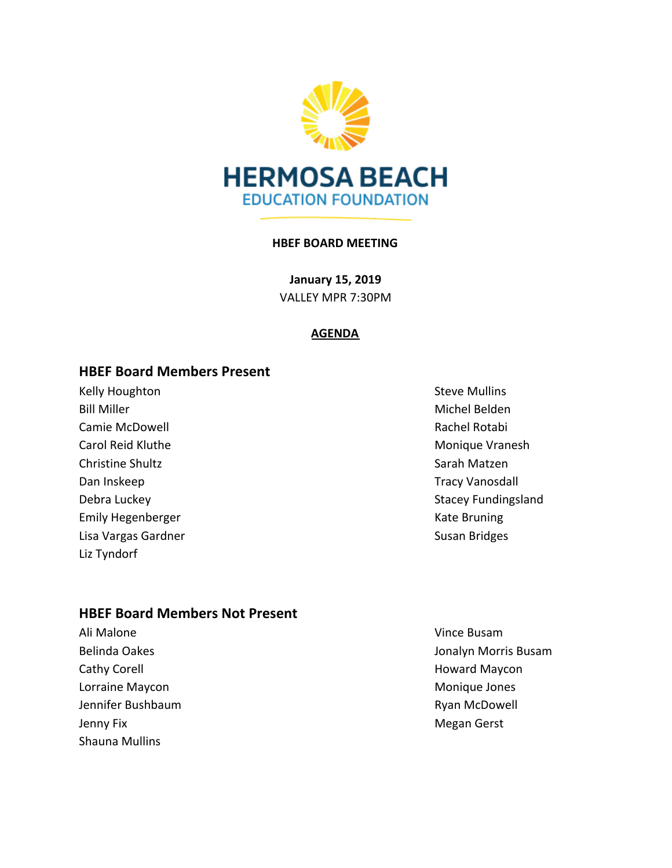

#### **HBEF BOARD MEETING**

**January 15, 2019** VALLEY MPR 7:30PM

#### **AGENDA**

### **HBEF Board Members Present**

Kelly Houghton **Steve Mulling** Steve Mullins Bill Miller Michel Belden (1999) and the Michel Belden (1999) and the Michel Belden (1999) and the Michel Belden Camie McDowell **Camie Access 2018 Rachel Rotabi** Rachel Rotabi Carol Reid Kluthe Monique Vranesh Christine Shultz **Sarah Matzen** Sarah Matzen Dan Inskeep Tracy Vanosdall Emily Hegenberger National Communication of the Entries of American American Media and Kate Bruning Lisa Vargas Gardner National Susan Bridges Cardner National Susan Bridges Liz Tyndorf

### **HBEF Board Members Not Present**

Ali Malone Vince Busam Cathy Corell **Cathy Corell Cathy Corell Cathy Corell Howard Maycon** Lorraine Maycon **Monitage Islands** Monique Jones Jennifer Bushbaum **Ryan McDowell** Jenny Fix **Megan Gerst** Shauna Mullins

Debra Luckey **Stacey Fundingsland** 

Belinda Oakes **Jonalyn Morris Busam**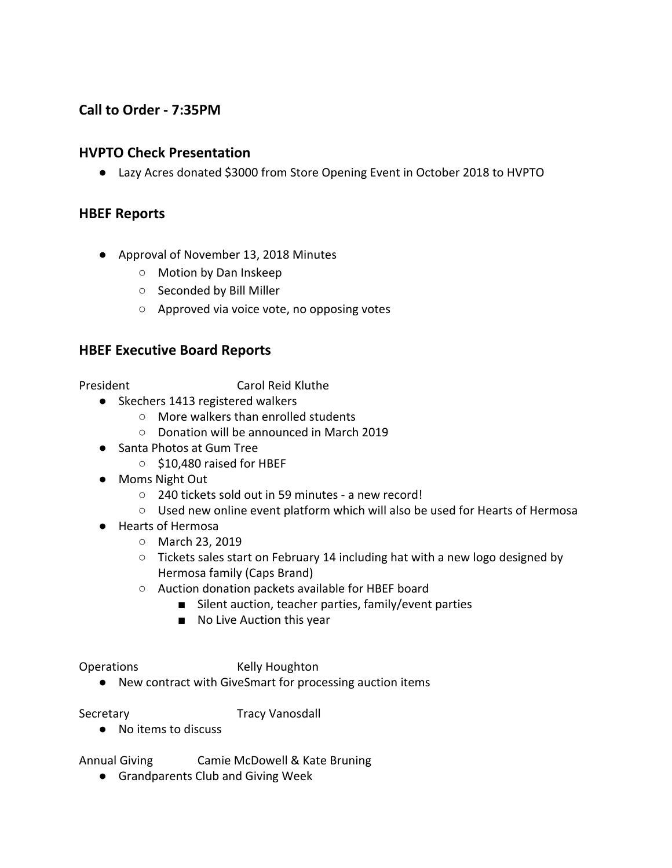# **Call to Order - 7:35PM**

### **HVPTO Check Presentation**

● Lazy Acres donated \$3000 from Store Opening Event in October 2018 to HVPTO

### **HBEF Reports**

- Approval of November 13, 2018 Minutes
	- Motion by Dan Inskeep
	- Seconded by Bill Miller
	- Approved via voice vote, no opposing votes

### **HBEF Executive Board Reports**

President Carol Reid Kluthe

- Skechers 1413 registered walkers
	- More walkers than enrolled students
	- Donation will be announced in March 2019
- Santa Photos at Gum Tree
	- \$10,480 raised for HBEF
- Moms Night Out
	- 240 tickets sold out in 59 minutes a new record!
	- Used new online event platform which will also be used for Hearts of Hermosa
- Hearts of Hermosa
	- March 23, 2019
	- Tickets sales start on February 14 including hat with a new logo designed by Hermosa family (Caps Brand)
	- Auction donation packets available for HBEF board
		- Silent auction, teacher parties, family/event parties
		- No Live Auction this year

Operations **Kelly Houghton** 

● New contract with GiveSmart for processing auction items

Secretary Tracy Vanosdall

● No items to discuss

Annual Giving Camie McDowell & Kate Bruning

● Grandparents Club and Giving Week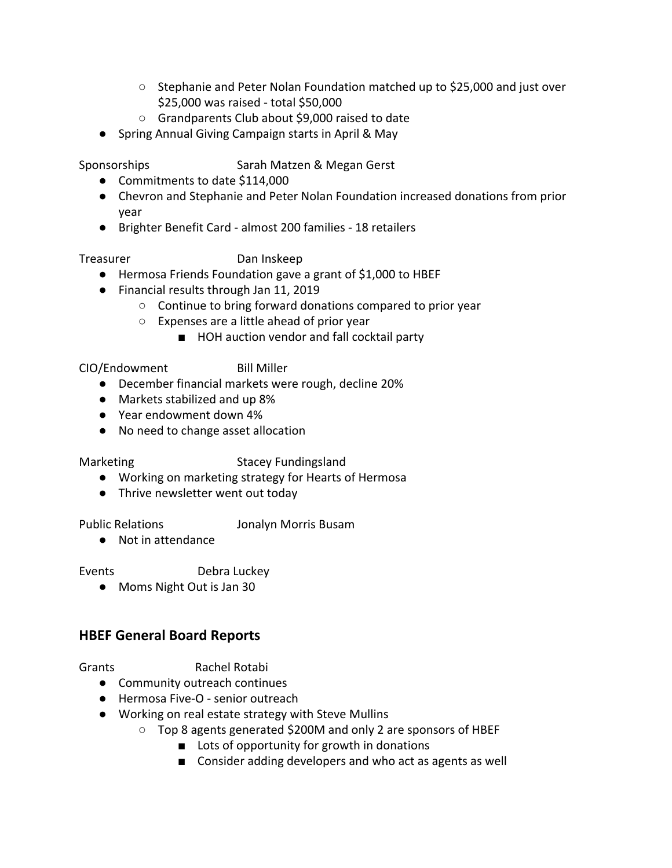- Stephanie and Peter Nolan Foundation matched up to \$25,000 and just over \$25,000 was raised - total \$50,000
- Grandparents Club about \$9,000 raised to date
- Spring Annual Giving Campaign starts in April & May

Sponsorships Sarah Matzen & Megan Gerst

- Commitments to date \$114,000
- Chevron and Stephanie and Peter Nolan Foundation increased donations from prior year
- Brighter Benefit Card almost 200 families 18 retailers

Treasurer Dan Inskeep

- Hermosa Friends Foundation gave a grant of \$1,000 to HBEF
- Financial results through Jan 11, 2019
	- Continue to bring forward donations compared to prior year
	- Expenses are a little ahead of prior year
		- HOH auction vendor and fall cocktail party

### CIO/Endowment Bill Miller

- December financial markets were rough, decline 20%
- Markets stabilized and up 8%
- Year endowment down 4%
- No need to change asset allocation

Marketing Stacey Fundingsland

- Working on marketing strategy for Hearts of Hermosa
- Thrive newsletter went out today

### Public Relations Jonalyn Morris Busam

● Not in attendance

Events Debra Luckey

● Moms Night Out is Jan 30

# **HBEF General Board Reports**

### Grants Rachel Rotabi

- Community outreach continues
- Hermosa Five-O senior outreach
- Working on real estate strategy with Steve Mullins
	- Top 8 agents generated \$200M and only 2 are sponsors of HBEF
		- Lots of opportunity for growth in donations
		- Consider adding developers and who act as agents as well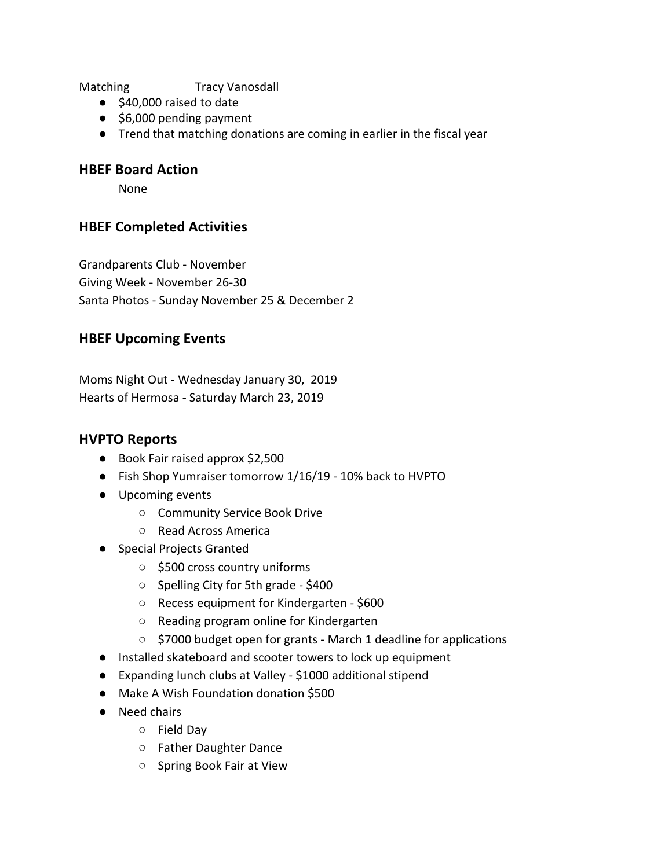Matching Tracy Vanosdall

- \$40,000 raised to date
- \$6,000 pending payment
- Trend that matching donations are coming in earlier in the fiscal year

### **HBEF Board Action**

None

# **HBEF Completed Activities**

Grandparents Club - November Giving Week - November 26-30 Santa Photos - Sunday November 25 & December 2

## **HBEF Upcoming Events**

Moms Night Out - Wednesday January 30, 2019 Hearts of Hermosa - Saturday March 23, 2019

## **HVPTO Reports**

- Book Fair raised approx \$2,500
- Fish Shop Yumraiser tomorrow 1/16/19 10% back to HVPTO
- Upcoming events
	- Community Service Book Drive
	- Read Across America
- Special Projects Granted
	- \$500 cross country uniforms
	- Spelling City for 5th grade \$400
	- Recess equipment for Kindergarten \$600
	- Reading program online for Kindergarten
	- \$7000 budget open for grants March 1 deadline for applications
- Installed skateboard and scooter towers to lock up equipment
- Expanding lunch clubs at Valley \$1000 additional stipend
- Make A Wish Foundation donation \$500
- Need chairs
	- Field Day
	- Father Daughter Dance
	- Spring Book Fair at View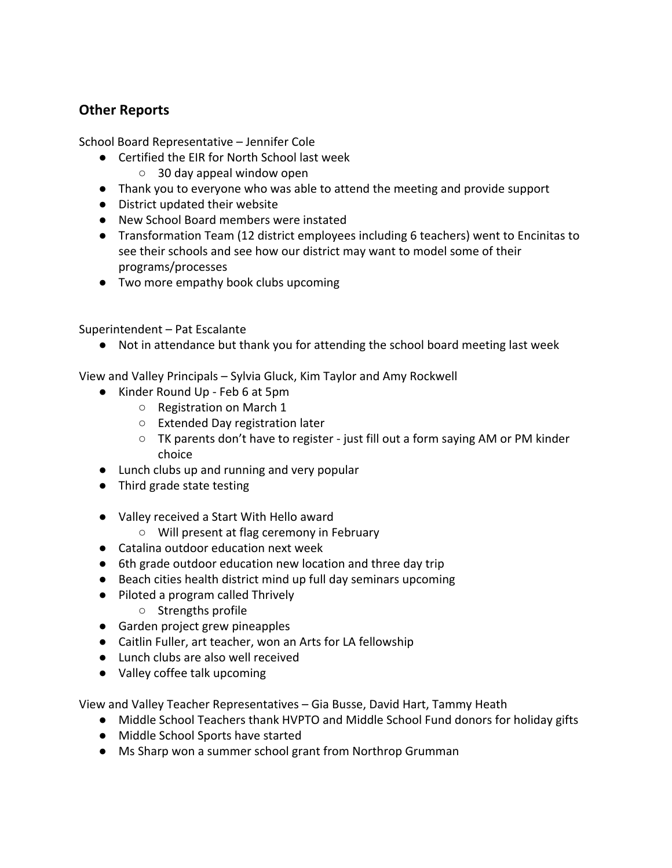# **Other Reports**

School Board Representative – Jennifer Cole

- Certified the EIR for North School last week
	- 30 day appeal window open
- Thank you to everyone who was able to attend the meeting and provide support
- District updated their website
- New School Board members were instated
- Transformation Team (12 district employees including 6 teachers) went to Encinitas to see their schools and see how our district may want to model some of their programs/processes
- Two more empathy book clubs upcoming

Superintendent – Pat Escalante

● Not in attendance but thank you for attending the school board meeting last week

View and Valley Principals – Sylvia Gluck, Kim Taylor and Amy Rockwell

- Kinder Round Up Feb 6 at 5pm
	- Registration on March 1
	- Extended Day registration later
	- $\circ$  TK parents don't have to register just fill out a form saying AM or PM kinder choice
- Lunch clubs up and running and very popular
- Third grade state testing
- Valley received a Start With Hello award
	- Will present at flag ceremony in February
- Catalina outdoor education next week
- 6th grade outdoor education new location and three day trip
- Beach cities health district mind up full day seminars upcoming
- Piloted a program called Thrively
	- Strengths profile
- Garden project grew pineapples
- Caitlin Fuller, art teacher, won an Arts for LA fellowship
- Lunch clubs are also well received
- Valley coffee talk upcoming

View and Valley Teacher Representatives – Gia Busse, David Hart, Tammy Heath

- Middle School Teachers thank HVPTO and Middle School Fund donors for holiday gifts
- Middle School Sports have started
- Ms Sharp won a summer school grant from Northrop Grumman